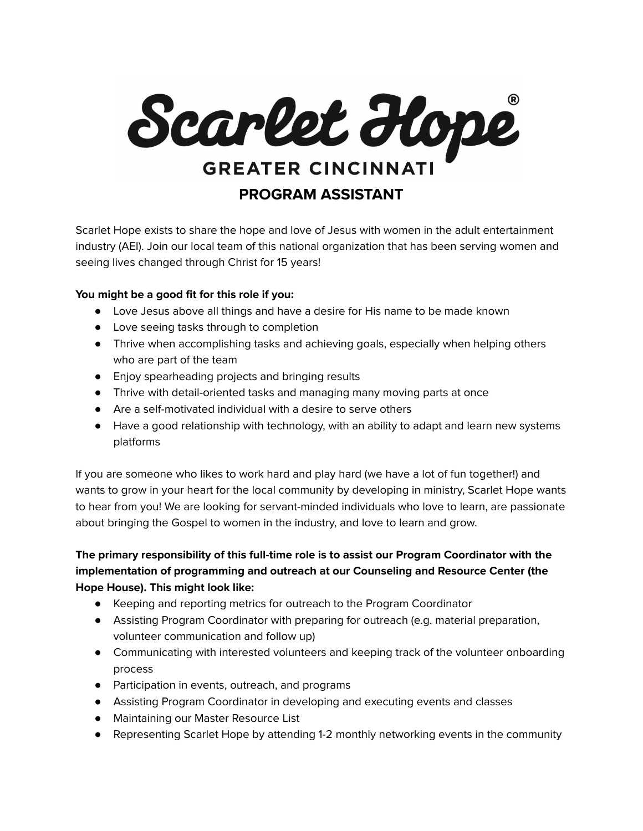

Scarlet Hope exists to share the hope and love of Jesus with women in the adult entertainment industry (AEI). Join our local team of this national organization that has been serving women and seeing lives changed through Christ for 15 years!

## **You might be a good fit for this role if you:**

- Love Jesus above all things and have a desire for His name to be made known
- Love seeing tasks through to completion
- Thrive when accomplishing tasks and achieving goals, especially when helping others who are part of the team
- Enjoy spearheading projects and bringing results
- Thrive with detail-oriented tasks and managing many moving parts at once
- Are a self-motivated individual with a desire to serve others
- Have a good relationship with technology, with an ability to adapt and learn new systems platforms

If you are someone who likes to work hard and play hard (we have a lot of fun together!) and wants to grow in your heart for the local community by developing in ministry, Scarlet Hope wants to hear from you! We are looking for servant-minded individuals who love to learn, are passionate about bringing the Gospel to women in the industry, and love to learn and grow.

## **The primary responsibility of this full-time role is to assist our Program Coordinator with the implementation of programming and outreach at our Counseling and Resource Center (the Hope House). This might look like:**

- Keeping and reporting metrics for outreach to the Program Coordinator
- Assisting Program Coordinator with preparing for outreach (e.g. material preparation, volunteer communication and follow up)
- Communicating with interested volunteers and keeping track of the volunteer onboarding process
- Participation in events, outreach, and programs
- Assisting Program Coordinator in developing and executing events and classes
- Maintaining our Master Resource List
- Representing Scarlet Hope by attending 1-2 monthly networking events in the community